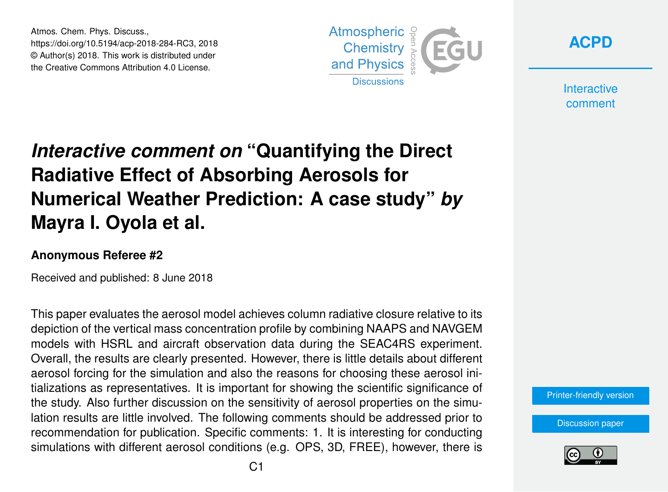Atmos. Chem. Phys. Discuss., https://doi.org/10.5194/acp-2018-284-RC3, 2018 © Author(s) 2018. This work is distributed under the Creative Commons Attribution 4.0 License.





**Interactive** comment

## *Interactive comment on* **"Quantifying the Direct Radiative Effect of Absorbing Aerosols for Numerical Weather Prediction: A case study"** *by* **Mayra I. Oyola et al.**

## **Anonymous Referee #2**

Received and published: 8 June 2018

This paper evaluates the aerosol model achieves column radiative closure relative to its depiction of the vertical mass concentration profile by combining NAAPS and NAVGEM models with HSRL and aircraft observation data during the SEAC4RS experiment. Overall, the results are clearly presented. However, there is little details about different aerosol forcing for the simulation and also the reasons for choosing these aerosol initializations as representatives. It is important for showing the scientific significance of the study. Also further discussion on the sensitivity of aerosol properties on the simulation results are little involved. The following comments should be addressed prior to recommendation for publication. Specific comments: 1. It is interesting for conducting simulations with different aerosol conditions (e.g. OPS, 3D, FREE), however, there is

[Printer-friendly version](https://www.atmos-chem-phys-discuss.net/acp-2018-284/acp-2018-284-RC3-print.pdf)

[Discussion paper](https://www.atmos-chem-phys-discuss.net/acp-2018-284)